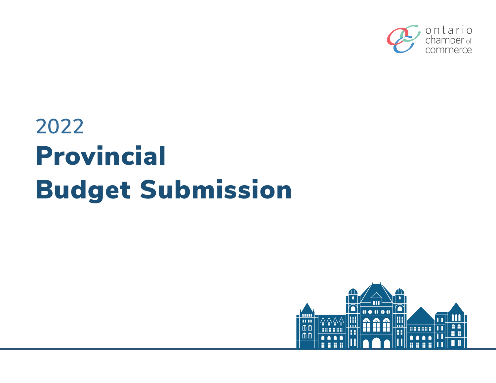

# **2022**  Provincial Budget Submission

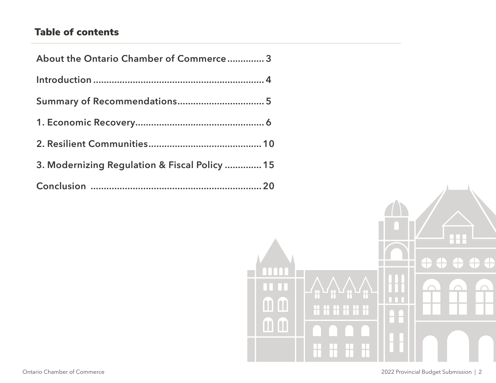# Table of contents

| About the Ontario Chamber of Commerce 3       |  |
|-----------------------------------------------|--|
|                                               |  |
|                                               |  |
|                                               |  |
|                                               |  |
| 3. Modernizing Regulation & Fiscal Policy  15 |  |
|                                               |  |

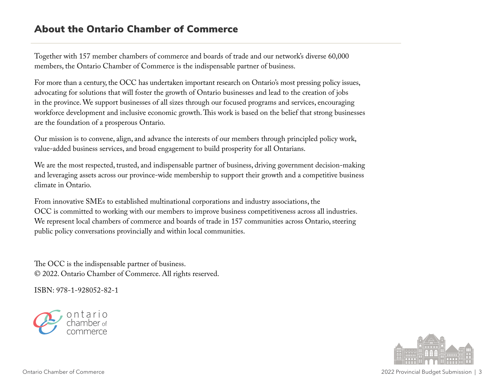# <span id="page-2-0"></span>About the Ontario Chamber of Commerce

Together with 157 member chambers of commerce and boards of trade and our network's diverse 60,000 members, the Ontario Chamber of Commerce is the indispensable partner of business.

For more than a century, the OCC has undertaken important research on Ontario's most pressing policy issues, advocating for solutions that will foster the growth of Ontario businesses and lead to the creation of jobs in the province. We support businesses of all sizes through our focused programs and services, encouraging workforce development and inclusive economic growth. This work is based on the belief that strong businesses are the foundation of a prosperous Ontario.

Our mission is to convene, align, and advance the interests of our members through principled policy work, value-added business services, and broad engagement to build prosperity for all Ontarians.

We are the most respected, trusted, and indispensable partner of business, driving government decision-making and leveraging assets across our province-wide membership to support their growth and a competitive business climate in Ontario.

From innovative SMEs to established multinational corporations and industry associations, the OCC is committed to working with our members to improve business competitiveness across all industries. We represent local chambers of commerce and boards of trade in 157 communities across Ontario, steering public policy conversations provincially and within local communities.

The OCC is the indispensable partner of business. © 2022. Ontario Chamber of Commerce. All rights reserved.

ISBN: 978-1-928052-82-1



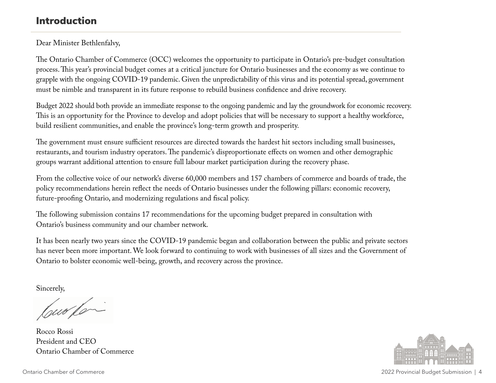# <span id="page-3-0"></span>Introduction

## Dear Minister Bethlenfalvy,

The Ontario Chamber of Commerce (OCC) welcomes the opportunity to participate in Ontario's pre-budget consultation process. This year's provincial budget comes at a critical juncture for Ontario businesses and the economy as we continue to grapple with the ongoing COVID-19 pandemic. Given the unpredictability of this virus and its potential spread, government must be nimble and transparent in its future response to rebuild business confidence and drive recovery.

Budget 2022 should both provide an immediate response to the ongoing pandemic and lay the groundwork for economic recovery. This is an opportunity for the Province to develop and adopt policies that will be necessary to support a healthy workforce, build resilient communities, and enable the province's long-term growth and prosperity.

The government must ensure sufficient resources are directed towards the hardest hit sectors including small businesses, restaurants, and tourism industry operators. The pandemic's disproportionate effects on women and other demographic groups warrant additional attention to ensure full labour market participation during the recovery phase.

From the collective voice of our network's diverse 60,000 members and 157 chambers of commerce and boards of trade, the policy recommendations herein reflect the needs of Ontario businesses under the following pillars: economic recovery, future-proofing Ontario, and modernizing regulations and fiscal policy.

The following submission contains 17 recommendations for the upcoming budget prepared in consultation with Ontario's business community and our chamber network.

It has been nearly two years since the COVID-19 pandemic began and collaboration between the public and private sectors has never been more important. We look forward to continuing to work with businesses of all sizes and the Government of Ontario to bolster economic well-being, growth, and recovery across the province.

Sincerely,

Cur for

Rocco Rossi President and CEO Ontario Chamber of Commerce

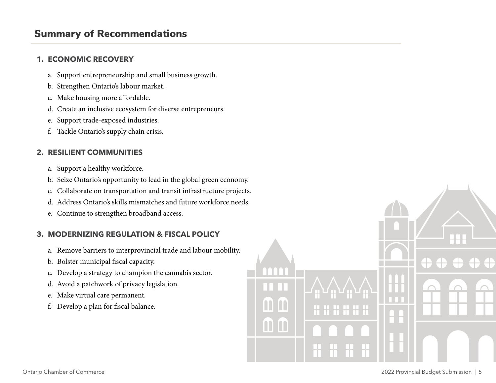# <span id="page-4-0"></span>Summary of Recommendations

#### **1. ECONOMIC RECOVERY**

- a. Support entrepreneurship and small business growth.
- b. Strengthen Ontario's labour market.
- c. Make housing more affordable.
- d. Create an inclusive ecosystem for diverse entrepreneurs.
- e. Support trade-exposed industries.
- f. Tackle Ontario's supply chain crisis.

## **2. RESILIENT COMMUNITIES**

- a. Support a healthy workforce.
- b. Seize Ontario's opportunity to lead in the global green economy.
- c. Collaborate on transportation and transit infrastructure projects.
- d. Address Ontario's skills mismatches and future workforce needs.
- e. Continue to strengthen broadband access.

#### **3. MODERNIZING REGULATION & FISCAL POLICY**

- a. Remove barriers to interprovincial trade and labour mobility.
- b. Bolster municipal fiscal capacity.
- c. Develop a strategy to champion the cannabis sector.
- d. Avoid a patchwork of privacy legislation.
- e. Make virtual care permanent.
- f. Develop a plan for fiscal balance.

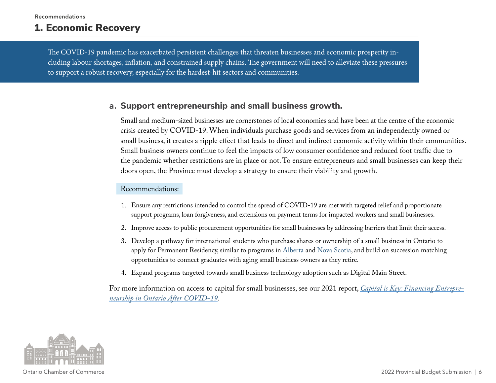# <span id="page-5-0"></span>1. Economic Recovery

The COVID-19 pandemic has exacerbated persistent challenges that threaten businesses and economic prosperity including labour shortages, inflation, and constrained supply chains. The government will need to alleviate these pressures to support a robust recovery, especially for the hardest-hit sectors and communities.

#### **a. Support entrepreneurship and small business growth.**

Small and medium-sized businesses are cornerstones of local economies and have been at the centre of the economic crisis created by COVID-19. When individuals purchase goods and services from an independently owned or small business, it creates a ripple effect that leads to direct and indirect economic activity within their communities. Small business owners continue to feel the impacts of low consumer confidence and reduced foot traffic due to the pandemic whether restrictions are in place or not. To ensure entrepreneurs and small businesses can keep their doors open, the Province must develop a strategy to ensure their viability and growth.

#### Recommendations:

- 1. Ensure any restrictions intended to control the spread of COVID-19 are met with targeted relief and proportionate support programs, loan forgiveness, and extensions on payment terms for impacted workers and small businesses.
- 2. Improve access to public procurement opportunities for small businesses by addressing barriers that limit their access.
- 3. Develop a pathway for international students who purchase shares or ownership of a small business in Ontario to apply for Permanent Residency, similar to programs in [Alberta](https://www.alberta.ca/ainp-international-graduate-entrepreneur-immigration-stream.aspx) and [Nova Scotia](https://novascotiaimmigration.com/move-here/international-graduate-entrepreneur/), and build on succession matching opportunities to connect graduates with aging small business owners as they retire.
- 4. Expand programs targeted towards small business technology adoption such as Digital Main Street.

For more information on access to capital for small businesses, see our 2021 report, *[Capital is Key: Financing Entrepre](https://occ.ca/wp-content/uploads/COVID19-Policy-Brief-Access-to-capital-final.pdf)[neurship in Ontario After COVID-19.](https://occ.ca/wp-content/uploads/COVID19-Policy-Brief-Access-to-capital-final.pdf)*

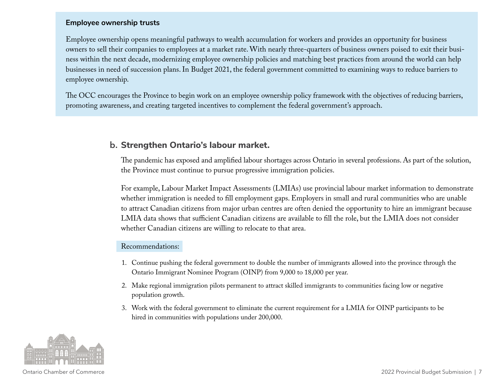#### **Employee ownership trusts**

Employee ownership opens meaningful pathways to wealth accumulation for workers and provides an opportunity for business owners to sell their companies to employees at a market rate. With nearly three-quarters of business owners poised to exit their business within the next decade, modernizing employee ownership policies and matching best practices from around the world can help businesses in need of succession plans. In Budget 2021, the federal government committed to examining ways to reduce barriers to employee ownership.

The OCC encourages the Province to begin work on an employee ownership policy framework with the objectives of reducing barriers, promoting awareness, and creating targeted incentives to complement the federal government's approach.

# **b. Strengthen Ontario's labour market.**

The pandemic has exposed and amplified labour shortages across Ontario in several professions. As part of the solution, the Province must continue to pursue progressive immigration policies.

For example, Labour Market Impact Assessments (LMIAs) use provincial labour market information to demonstrate whether immigration is needed to fill employment gaps. Employers in small and rural communities who are unable to attract Canadian citizens from major urban centres are often denied the opportunity to hire an immigrant because LMIA data shows that sufficient Canadian citizens are available to fill the role, but the LMIA does not consider whether Canadian citizens are willing to relocate to that area.

- 1. Continue pushing the federal government to double the number of immigrants allowed into the province through the Ontario Immigrant Nominee Program (OINP) from 9,000 to 18,000 per year.
- 2. Make regional immigration pilots permanent to attract skilled immigrants to communities facing low or negative population growth.
- 3. Work with the federal government to eliminate the current requirement for a LMIA for OINP participants to be hired in communities with populations under 200,000.

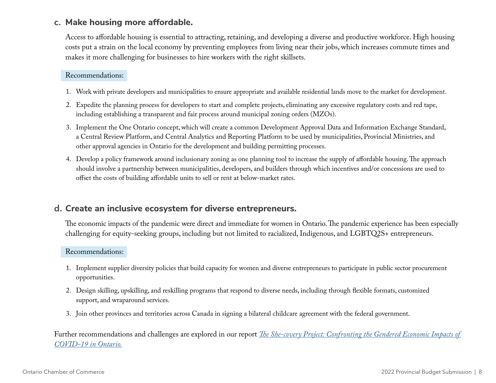## **c. Make housing more affordable.**

Access to affordable housing is essential to attracting, retaining, and developing a diverse and productive workforce. High housing costs put a strain on the local economy by preventing employees from living near their jobs, which increases commute times and makes it more challenging for businesses to hire workers with the right skillsets.

#### Recommendations:

- 1. Work with private developers and municipalities to ensure appropriate and available residential lands move to the market for development.
- 2. Expedite the planning process for developers to start and complete projects, eliminating any excessive regulatory costs and red tape, including establishing a transparent and fair process around municipal zoning orders (MZOs).
- 3. Implement the One Ontario concept, which will create a common Development Approval Data and Information Exchange Standard, a Central Review Platform, and Central Analytics and Reporting Platform to be used by municipalities, Provincial Ministries, and other approval agencies in Ontario for the development and building permitting processes.
- 4. Develop a policy framework around inclusionary zoning as one planning tool to increase the supply of affordable housing. The approach should involve a partnership between municipalities, developers, and builders through which incentives and/or concessions are used to offset the costs of building affordable units to sell or rent at below-market rates.

# **d. Create an inclusive ecosystem for diverse entrepreneurs.**

The economic impacts of the pandemic were direct and immediate for women in Ontario. The pandemic experience has been especially challenging for equity-seeking groups, including but not limited to racialized, Indigenous, and LGBTQ2S+ entrepreneurs.

#### Recommendations:

- 1. Implement supplier diversity policies that build capacity for women and diverse entrepreneurs to participate in public sector procurement opportunities.
- 2. Design skilling, upskilling, and reskilling programs that respond to diverse needs, including through flexible formats, customized support, and wraparound services.
- 3. Join other provinces and territories across Canada in signing a bilateral childcare agreement with the federal government.

Further recommendations and challenges are explored in our report *[The She-covery Project: Confronting the Gendered Economic Impacts of](https://occ.ca/wp-content/uploads/OCC-shecovery-final.pdf)  [COVID-19 in Ontario.](https://occ.ca/wp-content/uploads/OCC-shecovery-final.pdf)*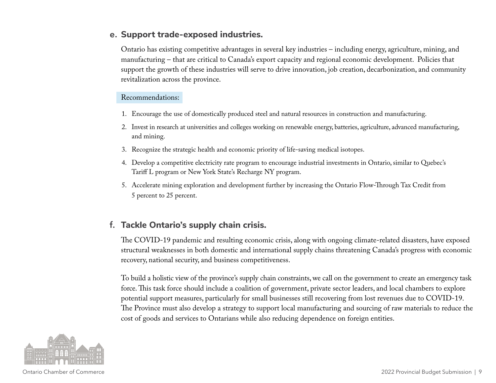## **e. Support trade-exposed industries.**

Ontario has existing competitive advantages in several key industries – including energy, agriculture, mining, and manufacturing – that are critical to Canada's export capacity and regional economic development. Policies that support the growth of these industries will serve to drive innovation, job creation, decarbonization, and community revitalization across the province.

#### Recommendations:

- 1. Encourage the use of domestically produced steel and natural resources in construction and manufacturing.
- 2. Invest in research at universities and colleges working on renewable energy, batteries, agriculture, advanced manufacturing, and mining.
- 3. Recognize the strategic health and economic priority of life-saving medical isotopes.
- 4. Develop a competitive electricity rate program to encourage industrial investments in Ontario, similar to Quebec's Tariff L program or New York State's Recharge NY program.
- 5. Accelerate mining exploration and development further by increasing the Ontario Flow-Through Tax Credit from 5 percent to 25 percent.

# **f. Tackle Ontario's supply chain crisis.**

The COVID-19 pandemic and resulting economic crisis, along with ongoing climate-related disasters, have exposed structural weaknesses in both domestic and international supply chains threatening Canada's progress with economic recovery, national security, and business competitiveness.

To build a holistic view of the province's supply chain constraints, we call on the government to create an emergency task force. This task force should include a coalition of government, private sector leaders, and local chambers to explore potential support measures, particularly for small businesses still recovering from lost revenues due to COVID-19. The Province must also develop a strategy to support local manufacturing and sourcing of raw materials to reduce the cost of goods and services to Ontarians while also reducing dependence on foreign entities.

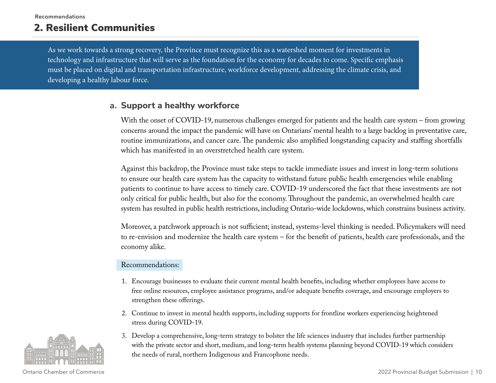# <span id="page-9-0"></span>2. Resilient Communities

As we work towards a strong recovery, the Province must recognize this as a watershed moment for investments in technology and infrastructure that will serve as the foundation for the economy for decades to come. Specific emphasis must be placed on digital and transportation infrastructure, workforce development, addressing the climate crisis, and developing a healthy labour force.

## **a. Support a healthy workforce**

With the onset of COVID-19, numerous challenges emerged for patients and the health care system – from growing concerns around the impact the pandemic will have on Ontarians' mental health to a large backlog in preventative care, routine immunizations, and cancer care. The pandemic also amplified longstanding capacity and staffing shortfalls which has manifested in an overstretched health care system.

Against this backdrop, the Province must take steps to tackle immediate issues and invest in long-term solutions to ensure our health care system has the capacity to withstand future public health emergencies while enabling patients to continue to have access to timely care. COVID-19 underscored the fact that these investments are not only critical for public health, but also for the economy. Throughout the pandemic, an overwhelmed health care system has resulted in public health restrictions, including Ontario-wide lockdowns, which constrains business activity.

Moreover, a patchwork approach is not sufficient; instead, systems-level thinking is needed. Policymakers will need to re-envision and modernize the health care system – for the benefit of patients, health care professionals, and the economy alike.

- 1. Encourage businesses to evaluate their current mental health benefits, including whether employees have access to free online resources, employee assistance programs, and/or adequate benefits coverage, and encourage employers to strengthen these offerings.
- 2. Continue to invest in mental health supports, including supports for frontline workers experiencing heightened stress during COVID-19.
- 3. Develop a comprehensive, long-term strategy to bolster the life sciences industry that includes further partnership with the private sector and short, medium, and long-term health systems planning beyond COVID-19 which considers the needs of rural, northern Indigenous and Francophone needs.

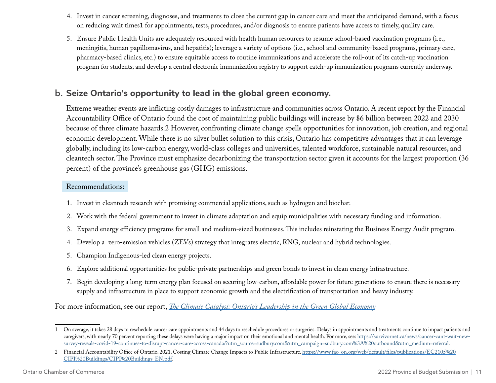- 4. Invest in cancer screening, diagnoses, and treatments to close the current gap in cancer care and meet the anticipated demand, with a focus on reducing wait times1 for appointments, tests, procedures, and/or diagnosis to ensure patients have access to timely, quality care.
- 5. Ensure Public Health Units are adequately resourced with health human resources to resume school-based vaccination programs (i.e., meningitis, human papillomavirus, and hepatitis); leverage a variety of options (i.e., school and community-based programs, primary care, pharmacy-based clinics, etc.) to ensure equitable access to routine immunizations and accelerate the roll-out of its catch-up vaccination program for students; and develop a central electronic immunization registry to support catch-up immunization programs currently underway.

# **b. Seize Ontario's opportunity to lead in the global green economy.**

Extreme weather events are inflicting costly damages to infrastructure and communities across Ontario. A recent report by the Financial Accountability Office of Ontario found the cost of maintaining public buildings will increase by \$6 billion between 2022 and 2030 because of three climate hazards.2 However, confronting climate change spells opportunities for innovation, job creation, and regional economic development. While there is no silver bullet solution to this crisis, Ontario has competitive advantages that it can leverage globally, including its low-carbon energy, world-class colleges and universities, talented workforce, sustainable natural resources, and cleantech sector. The Province must emphasize decarbonizing the transportation sector given it accounts for the largest proportion (36 percent) of the province's greenhouse gas (GHG) emissions.

#### Recommendations:

- 1. Invest in cleantech research with promising commercial applications, such as hydrogen and biochar.
- 2. Work with the federal government to invest in climate adaptation and equip municipalities with necessary funding and information.
- 3. Expand energy efficiency programs for small and medium-sized businesses. This includes reinstating the Business Energy Audit program.
- 4. Develop a zero-emission vehicles (ZEVs) strategy that integrates electric, RNG, nuclear and hybrid technologies.
- 5. Champion Indigenous-led clean energy projects.
- 6. Explore additional opportunities for public-private partnerships and green bonds to invest in clean energy infrastructure.
- 7. Begin developing a long-term energy plan focused on securing low-carbon, affordable power for future generations to ensure there is necessary supply and infrastructure in place to support economic growth and the electrification of transportation and heavy industry.

For more information, see our report, *[The Climate Catalyst: Ontario's Leadership in the Green Global Economy](https://occ.ca/wp-content/uploads/The-Climate-Catalyst-Ontarios-Leadership-in-the-Green-Global-Economy.pdf)*

<sup>1</sup> On average, it takes 28 days to reschedule cancer care appointments and 44 days to reschedule procedures or surgeries. Delays in appointments and treatments continue to impact patients and caregivers, with nearly 70 percent reporting these delays were having a major impact on their emotional and mental health. For more, see: [https://survivornet.ca/news/cancer-cant-wait-new](https://survivornet.ca/news/cancer-cant-wait-new-survey-reveals-covid-19-continues-to-disrupt-cancer-care-across-canada/?utm_source=sudbury.com&utm_campaign=sudbury.com%3A%20outbound&utm_medium=referral)[survey-reveals-covid-19-continues-to-disrupt-cancer-care-across-canada/?utm\\_source=sudbury.com&utm\\_campaign=sudbury.com%3A%20outbound&utm\\_medium=referral](https://survivornet.ca/news/cancer-cant-wait-new-survey-reveals-covid-19-continues-to-disrupt-cancer-care-across-canada/?utm_source=sudbury.com&utm_campaign=sudbury.com%3A%20outbound&utm_medium=referral).

<sup>2</sup> Financial Accountability Office of Ontario. 2021. Costing Climate Change Impacts to Public Infrastructure. [https://www.fao-on.org/web/default/files/publications/EC2105%20](https://www.fao-on.org/web/default/files/publications/EC2105%20CIPI%20Buildings/CIPI%20Buildings-EN.pdf) [CIPI%20Buildings/CIPI%20Buildings-EN.pdf.](https://www.fao-on.org/web/default/files/publications/EC2105%20CIPI%20Buildings/CIPI%20Buildings-EN.pdf)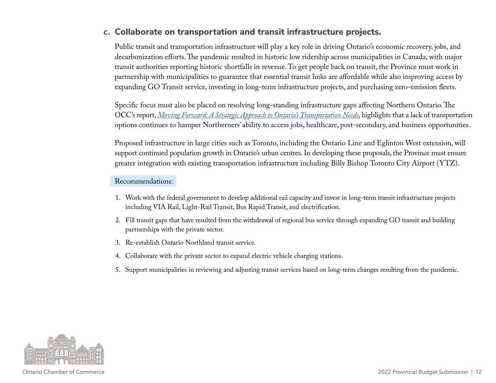# **c. Collaborate on transportation and transit infrastructure projects.**

Public transit and transportation infrastructure will play a key role in driving Ontario's economic recovery, jobs, and decarbonization efforts. The pandemic resulted in historic low ridership across municipalities in Canada, with major transit authorities reporting historic shortfalls in revenue. To get people back on transit, the Province must work in partnership with municipalities to guarantee that essential transit links are affordable while also improving access by expanding GO Transit service, investing in long-term infrastructure projects, and purchasing zero-emission fleets.

Specific focus must also be placed on resolving long-standing infrastructure gaps affecting Northern Ontario. The OCC's report, *[Moving Forward: A Strategic Approach to Ontario's Transportation Needs](http://occ.ca/wp-content/uploads/Moving-Forward-Transportation-Report.pdf)*, highlights that a lack of transportation options continues to hamper Northerners' ability to access jobs, healthcare, post-secondary, and business opportunities.

Proposed infrastructure in large cities such as Toronto, including the Ontario Line and Eglinton West extension, will support continued population growth in Ontario's urban centres. In developing these proposals, the Province must ensure greater integration with existing transportation infrastructure including Billy Bishop Toronto City Airport (YTZ).

- 1. Work with the federal government to develop additional rail capacity and invest in long-term transit infrastructure projects including VIA Rail, Light-Rail Transit, Bus Rapid Transit, and electrification.
- 2. Fill transit gaps that have resulted from the withdrawal of regional bus service through expanding GO transit and building partnerships with the private sector.
- 3. Re-establish Ontario Northland transit service.
- 4. Collaborate with the private sector to expand electric vehicle charging stations.
- 5. Support municipalities in reviewing and adjusting transit services based on long-term changes resulting from the pandemic.

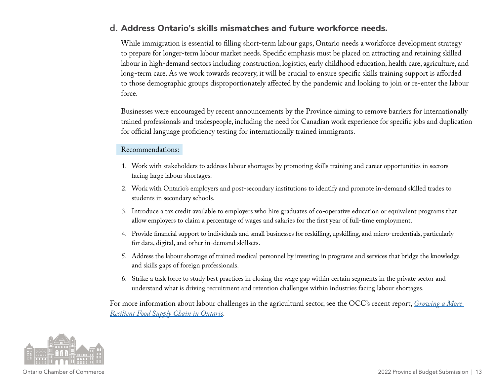# **d. Address Ontario's skills mismatches and future workforce needs.**

While immigration is essential to filling short-term labour gaps, Ontario needs a workforce development strategy to prepare for longer-term labour market needs. Specific emphasis must be placed on attracting and retaining skilled labour in high-demand sectors including construction, logistics, early childhood education, health care, agriculture, and long-term care. As we work towards recovery, it will be crucial to ensure specific skills training support is afforded to those demographic groups disproportionately affected by the pandemic and looking to join or re-enter the labour force.

Businesses were encouraged by recent announcements by the Province aiming to remove barriers for internationally trained professionals and tradespeople, including the need for Canadian work experience for specific jobs and duplication for official language proficiency testing for internationally trained immigrants.

#### Recommendations:

- 1. Work with stakeholders to address labour shortages by promoting skills training and career opportunities in sectors facing large labour shortages.
- 2. Work with Ontario's employers and post-secondary institutions to identify and promote in-demand skilled trades to students in secondary schools.
- 3. Introduce a tax credit available to employers who hire graduates of co-operative education or equivalent programs that allow employers to claim a percentage of wages and salaries for the first year of full-time employment.
- 4. Provide financial support to individuals and small businesses for reskilling, upskilling, and micro-credentials, particularly for data, digital, and other in-demand skillsets.
- 5. Address the labour shortage of trained medical personnel by investing in programs and services that bridge the knowledge and skills gaps of foreign professionals.
- 6. Strike a task force to study best practices in closing the wage gap within certain segments in the private sector and understand what is driving recruitment and retention challenges within industries facing labour shortages.

For more information about labour challenges in the agricultural sector, see the OCC's recent report, *[Growing a More](https://occ.ca/wp-content/uploads/COVID19-Policy-Brief-Food-Supply-Chain-final.pdf)  [Resilient Food Supply Chain in Ontario](https://occ.ca/wp-content/uploads/COVID19-Policy-Brief-Food-Supply-Chain-final.pdf).*

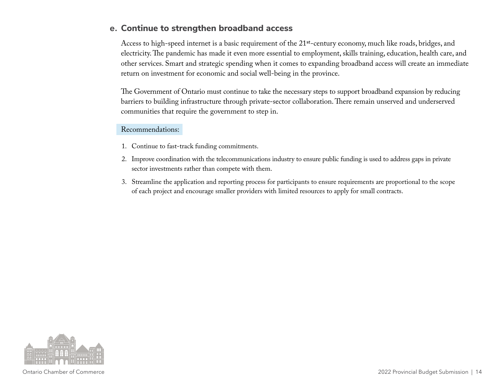## **e. Continue to strengthen broadband access**

Access to high-speed internet is a basic requirement of the 21<sup>st</sup>-century economy, much like roads, bridges, and electricity. The pandemic has made it even more essential to employment, skills training, education, health care, and other services. Smart and strategic spending when it comes to expanding broadband access will create an immediate return on investment for economic and social well-being in the province.

The Government of Ontario must continue to take the necessary steps to support broadband expansion by reducing barriers to building infrastructure through private-sector collaboration. There remain unserved and underserved communities that require the government to step in.

- 1. Continue to fast-track funding commitments.
- 2. Improve coordination with the telecommunications industry to ensure public funding is used to address gaps in private sector investments rather than compete with them.
- 3. Streamline the application and reporting process for participants to ensure requirements are proportional to the scope of each project and encourage smaller providers with limited resources to apply for small contracts.

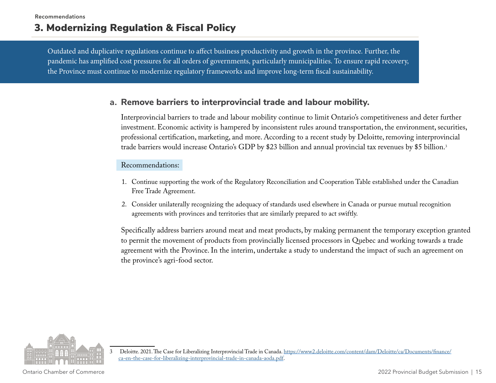# <span id="page-14-0"></span>3. Modernizing Regulation & Fiscal Policy

Outdated and duplicative regulations continue to affect business productivity and growth in the province. Further, the pandemic has amplified cost pressures for all orders of governments, particularly municipalities. To ensure rapid recovery, the Province must continue to modernize regulatory frameworks and improve long-term fiscal sustainability.

## **a. Remove barriers to interprovincial trade and labour mobility.**

Interprovincial barriers to trade and labour mobility continue to limit Ontario's competitiveness and deter further investment. Economic activity is hampered by inconsistent rules around transportation, the environment, securities, professional certification, marketing, and more. According to a recent study by Deloitte, removing interprovincial trade barriers would increase Ontario's GDP by \$23 billion and annual provincial tax revenues by \$5 billion.3

#### Recommendations:

- 1. Continue supporting the work of the Regulatory Reconciliation and Cooperation Table established under the Canadian Free Trade Agreement.
- 2. Consider unilaterally recognizing the adequacy of standards used elsewhere in Canada or pursue mutual recognition agreements with provinces and territories that are similarly prepared to act swiftly.

Specifically address barriers around meat and meat products, by making permanent the temporary exception granted to permit the movement of products from provincially licensed processors in Quebec and working towards a trade agreement with the Province. In the interim, undertake a study to understand the impact of such an agreement on the province's agri-food sector.



<sup>3</sup> Deloitte. 2021. The Case for Liberalizing Interprovincial Trade in Canada. [https://www2.deloitte.com/content/dam/Deloitte/ca/Documents/finance/](https://www2.deloitte.com/content/dam/Deloitte/ca/Documents/finance/ca-en-the-case-for-liberalizing-interprovincial-trade-in-canada-aoda.pdf) [ca-en-the-case-for-liberalizing-interprovincial-trade-in-canada-aoda.pdf.](https://www2.deloitte.com/content/dam/Deloitte/ca/Documents/finance/ca-en-the-case-for-liberalizing-interprovincial-trade-in-canada-aoda.pdf)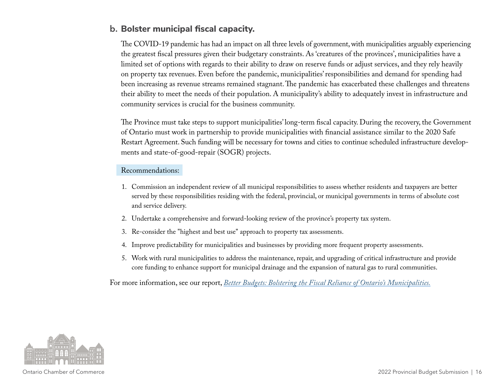# **b. Bolster municipal fiscal capacity.**

The COVID-19 pandemic has had an impact on all three levels of government, with municipalities arguably experiencing the greatest fiscal pressures given their budgetary constraints. As 'creatures of the provinces', municipalities have a limited set of options with regards to their ability to draw on reserve funds or adjust services, and they rely heavily on property tax revenues. Even before the pandemic, municipalities' responsibilities and demand for spending had been increasing as revenue streams remained stagnant. The pandemic has exacerbated these challenges and threatens their ability to meet the needs of their population. A municipality's ability to adequately invest in infrastructure and community services is crucial for the business community.

The Province must take steps to support municipalities' long-term fiscal capacity. During the recovery, the Government of Ontario must work in partnership to provide municipalities with financial assistance similar to the 2020 Safe Restart Agreement. Such funding will be necessary for towns and cities to continue scheduled infrastructure developments and state-of-good-repair (SOGR) projects.

#### Recommendations:

- 1. Commission an independent review of all municipal responsibilities to assess whether residents and taxpayers are better served by these responsibilities residing with the federal, provincial, or municipal governments in terms of absolute cost and service delivery.
- 2. Undertake a comprehensive and forward-looking review of the province's property tax system.
- 3. Re-consider the "highest and best use" approach to property tax assessments.
- 4. Improve predictability for municipalities and businesses by providing more frequent property assessments.
- 5. Work with rural municipalities to address the maintenance, repair, and upgrading of critical infrastructure and provide core funding to enhance support for municipal drainage and the expansion of natural gas to rural communities.

For more information, see our report, *[Better Budgets: Bolstering the Fiscal Reliance of Ontario's Municipalities.](https://occ.ca/wp-content/uploads/Better-Budgets-Bolstering-the-Fiscal-Resilience-of-Ontarios-Municipalities.pdf)*

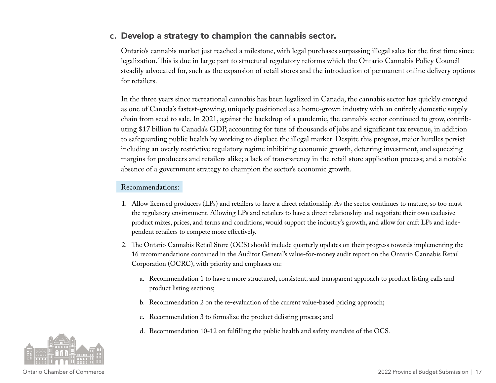## **c. Develop a strategy to champion the cannabis sector.**

Ontario's cannabis market just reached a milestone, with legal purchases surpassing illegal sales for the first time since legalization. This is due in large part to structural regulatory reforms which the Ontario Cannabis Policy Council steadily advocated for, such as the expansion of retail stores and the introduction of permanent online delivery options for retailers.

In the three years since recreational cannabis has been legalized in Canada, the cannabis sector has quickly emerged as one of Canada's fastest-growing, uniquely positioned as a home-grown industry with an entirely domestic supply chain from seed to sale. In 2021, against the backdrop of a pandemic, the cannabis sector continued to grow, contributing \$17 billion to Canada's GDP, accounting for tens of thousands of jobs and significant tax revenue, in addition to safeguarding public health by working to displace the illegal market. Despite this progress, major hurdles persist including an overly restrictive regulatory regime inhibiting economic growth, deterring investment, and squeezing margins for producers and retailers alike; a lack of transparency in the retail store application process; and a notable absence of a government strategy to champion the sector's economic growth.

- 1. Allow licensed producers (LPs) and retailers to have a direct relationship. As the sector continues to mature, so too must the regulatory environment. Allowing LPs and retailers to have a direct relationship and negotiate their own exclusive product mixes, prices, and terms and conditions, would support the industry's growth, and allow for craft LPs and independent retailers to compete more effectively.
- 2. The Ontario Cannabis Retail Store (OCS) should include quarterly updates on their progress towards implementing the 16 recommendations contained in the Auditor General's value-for-money audit report on the Ontario Cannabis Retail Corporation (OCRC), with priority and emphases on:
	- a. Recommendation 1 to have a more structured, consistent, and transparent approach to product listing calls and product listing sections;
	- b. Recommendation 2 on the re-evaluation of the current value-based pricing approach;
	- c. Recommendation 3 to formalize the product delisting process; and
	- d. Recommendation 10-12 on fulfilling the public health and safety mandate of the OCS.

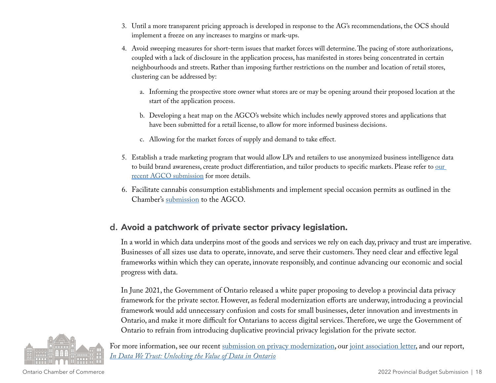- 3. Until a more transparent pricing approach is developed in response to the AG's recommendations, the OCS should implement a freeze on any increases to margins or mark-ups.
- 4. Avoid sweeping measures for short-term issues that market forces will determine. The pacing of store authorizations, coupled with a lack of disclosure in the application process, has manifested in stores being concentrated in certain neighbourhoods and streets. Rather than imposing further restrictions on the number and location of retail stores, clustering can be addressed by:
	- a. Informing the prospective store owner what stores are or may be opening around their proposed location at the start of the application process.
	- b. Developing a heat map on the AGCO's website which includes newly approved stores and applications that have been submitted for a retail license, to allow for more informed business decisions.
	- c. Allowing for the market forces of supply and demand to take effect.
- 5. Establish a trade marketing program that would allow LPs and retailers to use anonymized business intelligence data to build brand awareness, create product differentiation, and tailor products to specific markets. Please refer to our [recent AGCO submission](https://occ.ca/wp-content/uploads/AGCO-Cannabis-Inducement-Survey-OCPC-Submission.pdf) for more details.
- 6. Facilitate cannabis consumption establishments and implement special occasion permits as outlined in the Chamber's [submission](https://occ.ca/wp-content/uploads/Ontario-Cannabis-Policy-Council-Submission-2020.pdf) to the AGCO.

# **d. Avoid a patchwork of private sector privacy legislation.**

In a world in which data underpins most of the goods and services we rely on each day, privacy and trust are imperative. Businesses of all sizes use data to operate, innovate, and serve their customers. They need clear and effective legal frameworks within which they can operate, innovate responsibly, and continue advancing our economic and social progress with data.

In June 2021, the Government of Ontario released a white paper proposing to develop a provincial data privacy framework for the private sector. However, as federal modernization efforts are underway, introducing a provincial framework would add unnecessary confusion and costs for small businesses, deter innovation and investments in Ontario, and make it more difficult for Ontarians to access digital services. Therefore, we urge the Government of Ontario to refrain from introducing duplicative provincial privacy legislation for the private sector.



For more information, see our recent [submission on privacy modernization](https://occ.ca/wp-content/uploads/OCC_2021-Modernizing-Privacy-Consultation.pdf), our [joint association letter,](https://occ.ca/wp-content/uploads/Joint-submission-Ontario-privacy-consultation-FINAL.pdf) and our report, *[In Data We Trust: Unlocking the Value of Data in Ontario](https://occ.ca/wp-content/uploads/OCC-DataReport.pdf)*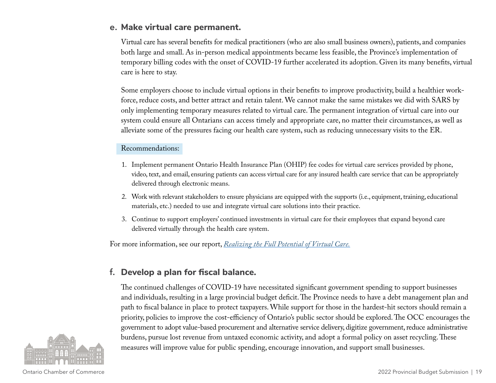## **e. Make virtual care permanent.**

Virtual care has several benefits for medical practitioners (who are also small business owners), patients, and companies both large and small. As in-person medical appointments became less feasible, the Province's implementation of temporary billing codes with the onset of COVID-19 further accelerated its adoption. Given its many benefits, virtual care is here to stay.

Some employers choose to include virtual options in their benefits to improve productivity, build a healthier workforce, reduce costs, and better attract and retain talent. We cannot make the same mistakes we did with SARS by only implementing temporary measures related to virtual care. The permanent integration of virtual care into our system could ensure all Ontarians can access timely and appropriate care, no matter their circumstances, as well as alleviate some of the pressures facing our health care system, such as reducing unnecessary visits to the ER.

#### Recommendations:

- 1. Implement permanent Ontario Health Insurance Plan (OHIP) fee codes for virtual care services provided by phone, video, text, and email, ensuring patients can access virtual care for any insured health care service that can be appropriately delivered through electronic means.
- 2. Work with relevant stakeholders to ensure physicians are equipped with the supports (i.e., equipment, training, educational materials, etc.) needed to use and integrate virtual care solutions into their practice.
- 3. Continue to support employers' continued investments in virtual care for their employees that expand beyond care delivered virtually through the health care system.

For more information, see our report, *[Realizing the Full Potential of Virtual Care.](https://occ.ca/wp-content/uploads/COVID19-Policy-Brief-Virtual-Care-final.pdf)*

# **f. Develop a plan for fiscal balance.**

The continued challenges of COVID-19 have necessitated significant government spending to support businesses and individuals, resulting in a large provincial budget deficit. The Province needs to have a debt management plan and path to fiscal balance in place to protect taxpayers. While support for those in the hardest-hit sectors should remain a priority, policies to improve the cost-efficiency of Ontario's public sector should be explored. The OCC encourages the government to adopt value-based procurement and alternative service delivery, digitize government, reduce administrative burdens, pursue lost revenue from untaxed economic activity, and adopt a formal policy on asset recycling. These measures will improve value for public spending, encourage innovation, and support small businesses.